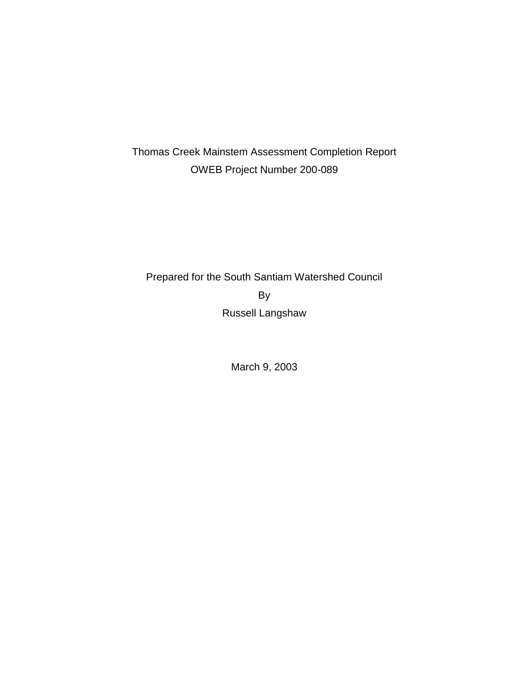# Thomas Creek Mainstem Assessment Completion Report OWEB Project Number 200-089

# Prepared for the South Santiam Watershed Council By Russell Langshaw

March 9, 2003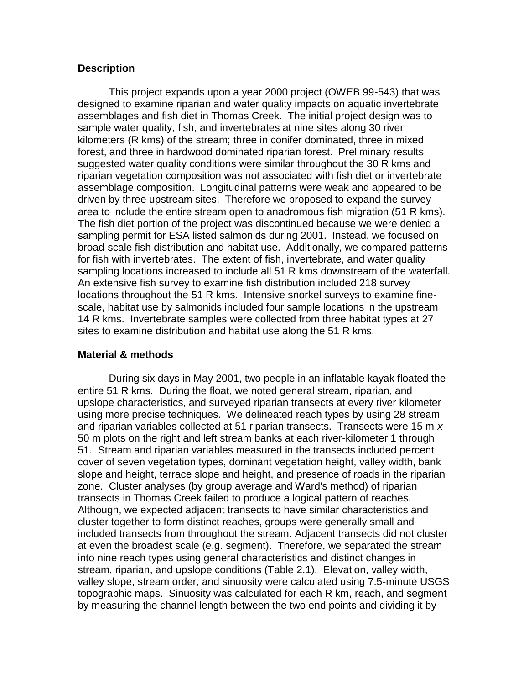## **Description**

This project expands upon a year 2000 project (OWEB 99-543) that was designed to examine riparian and water quality impacts on aquatic invertebrate assemblages and fish diet in Thomas Creek. The initial project design was to sample water quality, fish, and invertebrates at nine sites along 30 river kilometers (R kms) of the stream; three in conifer dominated, three in mixed forest, and three in hardwood dominated riparian forest. Preliminary results suggested water quality conditions were similar throughout the 30 R kms and riparian vegetation composition was not associated with fish diet or invertebrate assemblage composition. Longitudinal patterns were weak and appeared to be driven by three upstream sites. Therefore we proposed to expand the survey area to include the entire stream open to anadromous fish migration (51 R kms). The fish diet portion of the project was discontinued because we were denied a sampling permit for ESA listed salmonids during 2001. Instead, we focused on broad-scale fish distribution and habitat use. Additionally, we compared patterns for fish with invertebrates. The extent of fish, invertebrate, and water quality sampling locations increased to include all 51 R kms downstream of the waterfall. An extensive fish survey to examine fish distribution included 218 survey locations throughout the 51 R kms. Intensive snorkel surveys to examine finescale, habitat use by salmonids included four sample locations in the upstream 14 R kms. Invertebrate samples were collected from three habitat types at 27 sites to examine distribution and habitat use along the 51 R kms.

### **Material & methods**

During six days in May 2001, two people in an inflatable kayak floated the entire 51 R kms. During the float, we noted general stream, riparian, and upslope characteristics, and surveyed riparian transects at every river kilometer using more precise techniques. We delineated reach types by using 28 stream and riparian variables collected at 51 riparian transects. Transects were 15 m *x* 50 m plots on the right and left stream banks at each river-kilometer 1 through 51. Stream and riparian variables measured in the transects included percent cover of seven vegetation types, dominant vegetation height, valley width, bank slope and height, terrace slope and height, and presence of roads in the riparian zone. Cluster analyses (by group average and Ward's method) of riparian transects in Thomas Creek failed to produce a logical pattern of reaches. Although, we expected adjacent transects to have similar characteristics and cluster together to form distinct reaches, groups were generally small and included transects from throughout the stream. Adjacent transects did not cluster at even the broadest scale (e.g. segment). Therefore, we separated the stream into nine reach types using general characteristics and distinct changes in stream, riparian, and upslope conditions (Table 2.1). Elevation, valley width, valley slope, stream order, and sinuosity were calculated using 7.5-minute USGS topographic maps. Sinuosity was calculated for each R km, reach, and segment by measuring the channel length between the two end points and dividing it by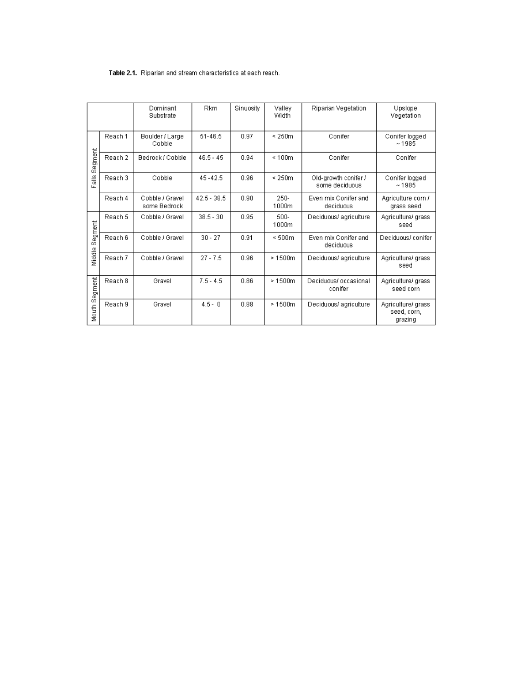#### Table 2.1. Riparian and stream characteristics at each reach.

|                      |         | Dominant<br>Substrate           | <b>Rkm</b>    | Sinuosity | Valley<br>Width  | Riparian Vegetation                    | Upslope<br>Vegetation                        |
|----------------------|---------|---------------------------------|---------------|-----------|------------------|----------------------------------------|----------------------------------------------|
|                      | Reach 1 | Boulder / Large<br>Cobble       | 51-46.5       | 0.97      | $\leq 250m$      | Conifer                                | Conifer logged<br>~1985                      |
| egment<br>တ်         | Reach 2 | Bedrock / Cobble                | $46.5 - 45$   | 0.94      | $\leq 100m$      | Conifer                                | Conifer                                      |
| $\frac{16}{16}$<br>ш | Reach 3 | Cobble                          | $45 - 42.5$   | 0.96      | $\leq 250m$      | Old-growth conifer /<br>some deciduous | Conifer logged<br>~1985                      |
|                      | Reach 4 | Cobble / Gravel<br>some Bedrock | $42.5 - 38.5$ | 0.90      | $250 -$<br>1000m | Even mix Conifer and<br>deciduous      | Agriculture corn /<br>grass seed             |
|                      | Reach 5 | Cobble / Gravel                 | $38.5 - 30$   | 0.95      | 500-<br>1000m    | Deciduous/ agriculture                 | Agriculture/ grass<br>seed                   |
| Segment              | Reach 6 | Cobble / Gravel                 | $30 - 27$     | 0.91      | $\leq 500m$      | Even mix Conifer and<br>deciduous      | Deciduous/ conifer                           |
| Middle               | Reach 7 | Cobble / Gravel                 | $27 - 7.5$    | 0.96      | >1500m           | Deciduous/agriculture                  | Agriculture/ grass<br>seed                   |
| Segment              | Reach 8 | Gravel                          | $7.5 - 4.5$   | 0.86      | >1500m           | Deciduous/ occasional<br>conifer       | Agriculture/ grass<br>seed corn              |
| Mouth                | Reach 9 | Gravel                          | $4.5 - 0$     | 0.88      | >1500m           | Deciduous/ agriculture                 | Agriculture/ grass<br>seed, corn,<br>grazing |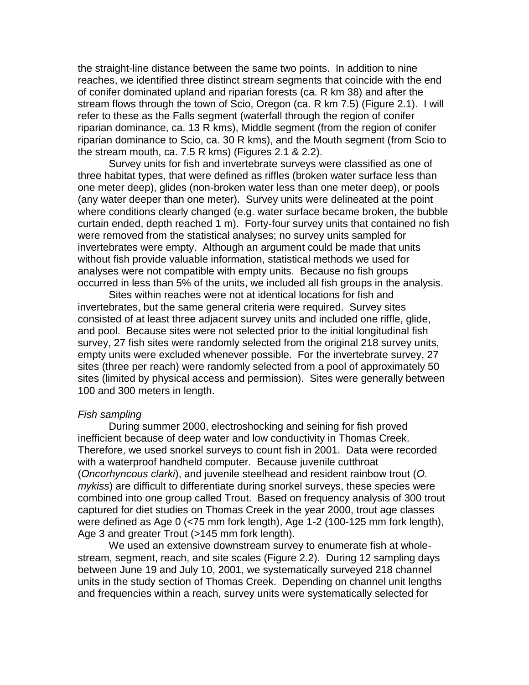the straight-line distance between the same two points. In addition to nine reaches, we identified three distinct stream segments that coincide with the end of conifer dominated upland and riparian forests (ca. R km 38) and after the stream flows through the town of Scio, Oregon (ca. R km 7.5) (Figure 2.1). I will refer to these as the Falls segment (waterfall through the region of conifer riparian dominance, ca. 13 R kms), Middle segment (from the region of conifer riparian dominance to Scio, ca. 30 R kms), and the Mouth segment (from Scio to the stream mouth, ca. 7.5 R kms) (Figures 2.1 & 2.2).

Survey units for fish and invertebrate surveys were classified as one of three habitat types, that were defined as riffles (broken water surface less than one meter deep), glides (non-broken water less than one meter deep), or pools (any water deeper than one meter). Survey units were delineated at the point where conditions clearly changed (e.g. water surface became broken, the bubble curtain ended, depth reached 1 m). Forty-four survey units that contained no fish were removed from the statistical analyses; no survey units sampled for invertebrates were empty. Although an argument could be made that units without fish provide valuable information, statistical methods we used for analyses were not compatible with empty units. Because no fish groups occurred in less than 5% of the units, we included all fish groups in the analysis.

Sites within reaches were not at identical locations for fish and invertebrates, but the same general criteria were required. Survey sites consisted of at least three adjacent survey units and included one riffle, glide, and pool. Because sites were not selected prior to the initial longitudinal fish survey, 27 fish sites were randomly selected from the original 218 survey units, empty units were excluded whenever possible. For the invertebrate survey, 27 sites (three per reach) were randomly selected from a pool of approximately 50 sites (limited by physical access and permission). Sites were generally between 100 and 300 meters in length.

#### *Fish sampling*

During summer 2000, electroshocking and seining for fish proved inefficient because of deep water and low conductivity in Thomas Creek. Therefore, we used snorkel surveys to count fish in 2001. Data were recorded with a waterproof handheld computer. Because juvenile cutthroat (*Oncorhyncous clarki*), and juvenile steelhead and resident rainbow trout (*O. mykiss*) are difficult to differentiate during snorkel surveys, these species were combined into one group called Trout. Based on frequency analysis of 300 trout captured for diet studies on Thomas Creek in the year 2000, trout age classes were defined as Age 0 (<75 mm fork length), Age 1-2 (100-125 mm fork length), Age 3 and greater Trout (>145 mm fork length).

We used an extensive downstream survey to enumerate fish at wholestream, segment, reach, and site scales (Figure 2.2). During 12 sampling days between June 19 and July 10, 2001, we systematically surveyed 218 channel units in the study section of Thomas Creek. Depending on channel unit lengths and frequencies within a reach, survey units were systematically selected for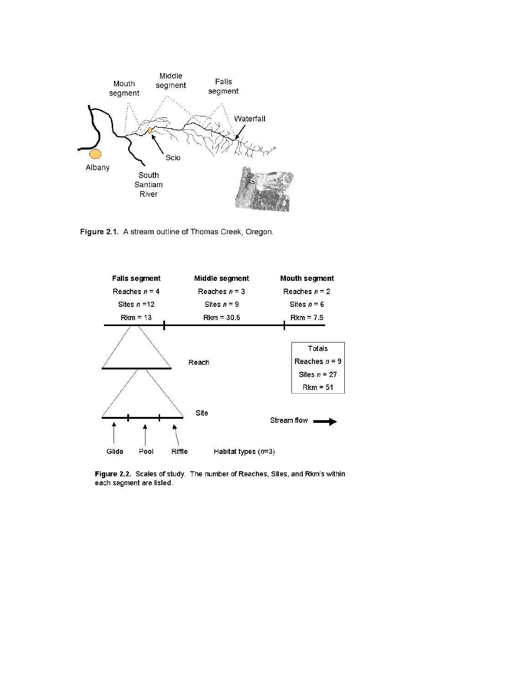

Figure 2.1. A stream outline of Thomas Creek, Oregon.



Figure 2.2. Scales of study. The number of Reaches, Sites, and Rkm's within each segment are listed.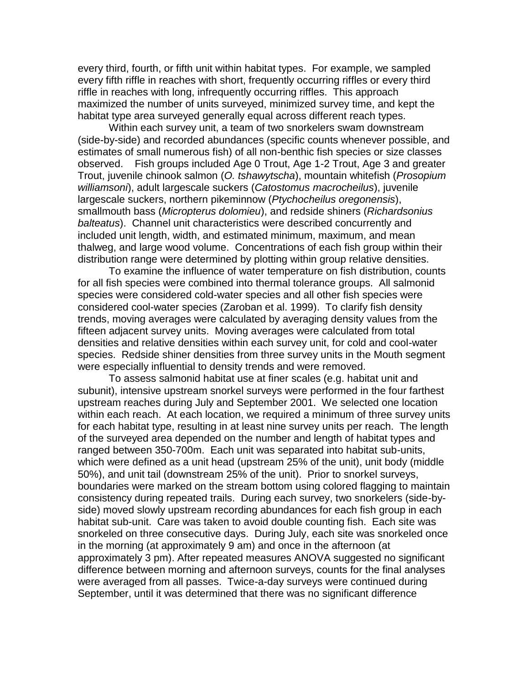every third, fourth, or fifth unit within habitat types. For example, we sampled every fifth riffle in reaches with short, frequently occurring riffles or every third riffle in reaches with long, infrequently occurring riffles. This approach maximized the number of units surveyed, minimized survey time, and kept the habitat type area surveyed generally equal across different reach types.

Within each survey unit, a team of two snorkelers swam downstream (side-by-side) and recorded abundances (specific counts whenever possible, and estimates of small numerous fish) of all non-benthic fish species or size classes observed. Fish groups included Age 0 Trout, Age 1-2 Trout, Age 3 and greater Trout, juvenile chinook salmon (*O. tshawytscha*), mountain whitefish (*Prosopium williamsoni*), adult largescale suckers (*Catostomus macrocheilus*), juvenile largescale suckers, northern pikeminnow (*Ptychocheilus oregonensis*), smallmouth bass (*Micropterus dolomieu*), and redside shiners (*Richardsonius balteatus*). Channel unit characteristics were described concurrently and included unit length, width, and estimated minimum, maximum, and mean thalweg, and large wood volume. Concentrations of each fish group within their distribution range were determined by plotting within group relative densities.

To examine the influence of water temperature on fish distribution, counts for all fish species were combined into thermal tolerance groups. All salmonid species were considered cold-water species and all other fish species were considered cool-water species (Zaroban et al. 1999). To clarify fish density trends, moving averages were calculated by averaging density values from the fifteen adjacent survey units. Moving averages were calculated from total densities and relative densities within each survey unit, for cold and cool-water species. Redside shiner densities from three survey units in the Mouth segment were especially influential to density trends and were removed.

To assess salmonid habitat use at finer scales (e.g. habitat unit and subunit), intensive upstream snorkel surveys were performed in the four farthest upstream reaches during July and September 2001. We selected one location within each reach. At each location, we required a minimum of three survey units for each habitat type, resulting in at least nine survey units per reach. The length of the surveyed area depended on the number and length of habitat types and ranged between 350-700m. Each unit was separated into habitat sub-units, which were defined as a unit head (upstream 25% of the unit), unit body (middle 50%), and unit tail (downstream 25% of the unit). Prior to snorkel surveys, boundaries were marked on the stream bottom using colored flagging to maintain consistency during repeated trails. During each survey, two snorkelers (side-byside) moved slowly upstream recording abundances for each fish group in each habitat sub-unit. Care was taken to avoid double counting fish. Each site was snorkeled on three consecutive days. During July, each site was snorkeled once in the morning (at approximately 9 am) and once in the afternoon (at approximately 3 pm). After repeated measures ANOVA suggested no significant difference between morning and afternoon surveys, counts for the final analyses were averaged from all passes. Twice-a-day surveys were continued during September, until it was determined that there was no significant difference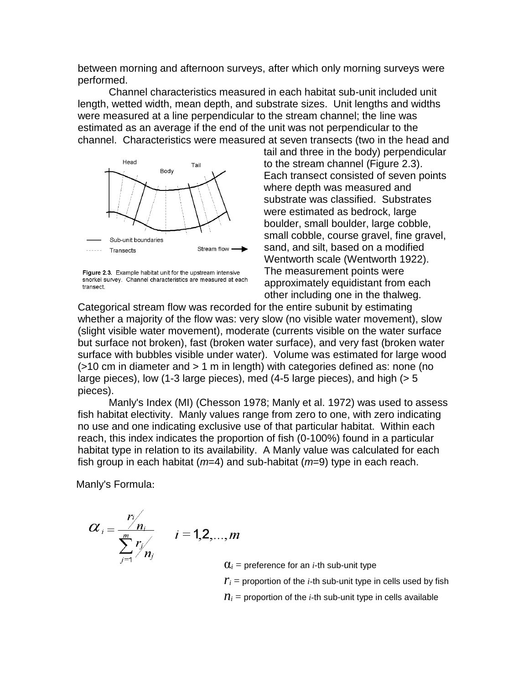between morning and afternoon surveys, after which only morning surveys were performed.

Channel characteristics measured in each habitat sub-unit included unit length, wetted width, mean depth, and substrate sizes. Unit lengths and widths were measured at a line perpendicular to the stream channel; the line was estimated as an average if the end of the unit was not perpendicular to the channel. Characteristics were measured at seven transects (two in the head and



Figure 2.3. Example habitat unit for the upstream intensive snorkel survey. Channel characteristics are measured at each transect.

tail and three in the body) perpendicular to the stream channel (Figure 2.3). Each transect consisted of seven points where depth was measured and substrate was classified. Substrates were estimated as bedrock, large boulder, small boulder, large cobble, small cobble, course gravel, fine gravel, sand, and silt, based on a modified Wentworth scale (Wentworth 1922). The measurement points were approximately equidistant from each other including one in the thalweg.

Categorical stream flow was recorded for the entire subunit by estimating whether a majority of the flow was: very slow (no visible water movement), slow (slight visible water movement), moderate (currents visible on the water surface but surface not broken), fast (broken water surface), and very fast (broken water surface with bubbles visible under water). Volume was estimated for large wood (>10 cm in diameter and > 1 m in length) with categories defined as: none (no large pieces), low (1-3 large pieces), med (4-5 large pieces), and high (> 5 pieces).

Manly's Index (MI) (Chesson 1978; Manly et al. 1972) was used to assess fish habitat electivity. Manly values range from zero to one, with zero indicating no use and one indicating exclusive use of that particular habitat. Within each reach, this index indicates the proportion of fish (0-100%) found in a particular habitat type in relation to its availability. A Manly value was calculated for each fish group in each habitat (*m*=4) and sub-habitat (*m*=9) type in each reach.

Manly's Formula:

$$
\alpha_i = \frac{r_i}{\sum_{j=1}^m r_j}
$$
  $i = 1, 2, ..., m$ 

 $\mathbf{Q}_i$  = preference for an *i*-th sub-unit type

 $r_i$  = proportion of the *i*-th sub-unit type in cells used by fish

 $n_i$  = proportion of the *i*-th sub-unit type in cells available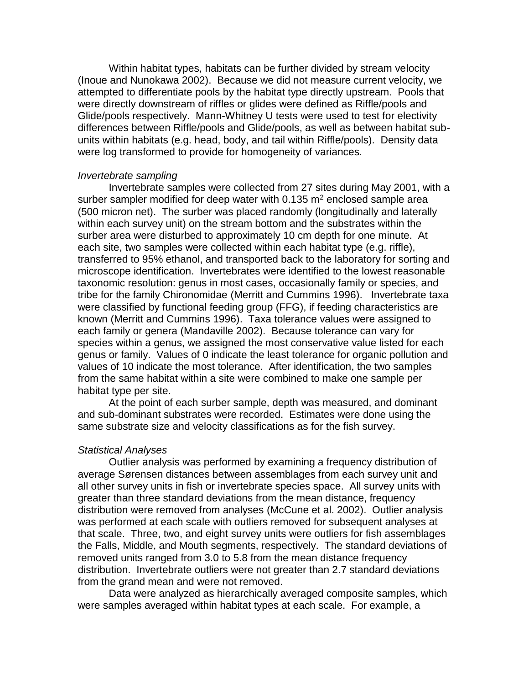Within habitat types, habitats can be further divided by stream velocity (Inoue and Nunokawa 2002). Because we did not measure current velocity, we attempted to differentiate pools by the habitat type directly upstream. Pools that were directly downstream of riffles or glides were defined as Riffle/pools and Glide/pools respectively. Mann-Whitney U tests were used to test for electivity differences between Riffle/pools and Glide/pools, as well as between habitat subunits within habitats (e.g. head, body, and tail within Riffle/pools). Density data were log transformed to provide for homogeneity of variances.

#### *Invertebrate sampling*

Invertebrate samples were collected from 27 sites during May 2001, with a surber sampler modified for deep water with  $0.135$  m<sup>2</sup> enclosed sample area (500 micron net). The surber was placed randomly (longitudinally and laterally within each survey unit) on the stream bottom and the substrates within the surber area were disturbed to approximately 10 cm depth for one minute. At each site, two samples were collected within each habitat type (e.g. riffle), transferred to 95% ethanol, and transported back to the laboratory for sorting and microscope identification. Invertebrates were identified to the lowest reasonable taxonomic resolution: genus in most cases, occasionally family or species, and tribe for the family Chironomidae (Merritt and Cummins 1996). Invertebrate taxa were classified by functional feeding group (FFG), if feeding characteristics are known (Merritt and Cummins 1996). Taxa tolerance values were assigned to each family or genera (Mandaville 2002). Because tolerance can vary for species within a genus, we assigned the most conservative value listed for each genus or family. Values of 0 indicate the least tolerance for organic pollution and values of 10 indicate the most tolerance. After identification, the two samples from the same habitat within a site were combined to make one sample per habitat type per site.

At the point of each surber sample, depth was measured, and dominant and sub-dominant substrates were recorded. Estimates were done using the same substrate size and velocity classifications as for the fish survey.

### *Statistical Analyses*

Outlier analysis was performed by examining a frequency distribution of average Sørensen distances between assemblages from each survey unit and all other survey units in fish or invertebrate species space. All survey units with greater than three standard deviations from the mean distance, frequency distribution were removed from analyses (McCune et al. 2002). Outlier analysis was performed at each scale with outliers removed for subsequent analyses at that scale. Three, two, and eight survey units were outliers for fish assemblages the Falls, Middle, and Mouth segments, respectively. The standard deviations of removed units ranged from 3.0 to 5.8 from the mean distance frequency distribution. Invertebrate outliers were not greater than 2.7 standard deviations from the grand mean and were not removed.

Data were analyzed as hierarchically averaged composite samples, which were samples averaged within habitat types at each scale. For example, a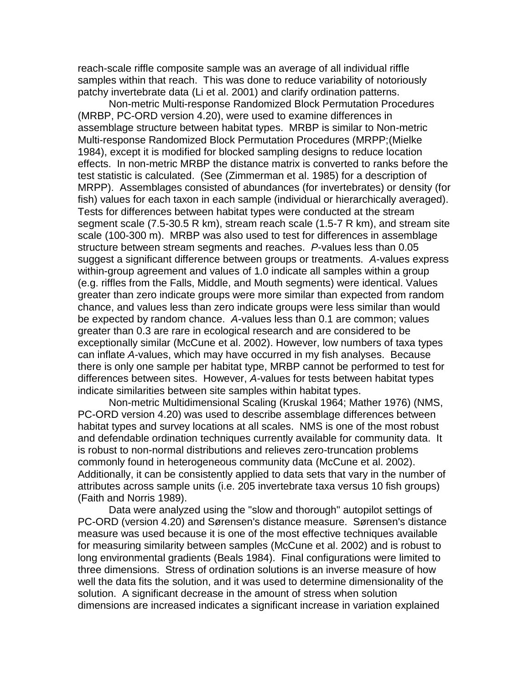reach-scale riffle composite sample was an average of all individual riffle samples within that reach. This was done to reduce variability of notoriously patchy invertebrate data (Li et al. 2001) and clarify ordination patterns.

Non-metric Multi-response Randomized Block Permutation Procedures (MRBP, PC-ORD version 4.20), were used to examine differences in assemblage structure between habitat types. MRBP is similar to Non-metric Multi-response Randomized Block Permutation Procedures (MRPP;(Mielke 1984), except it is modified for blocked sampling designs to reduce location effects. In non-metric MRBP the distance matrix is converted to ranks before the test statistic is calculated. (See (Zimmerman et al. 1985) for a description of MRPP). Assemblages consisted of abundances (for invertebrates) or density (for fish) values for each taxon in each sample (individual or hierarchically averaged). Tests for differences between habitat types were conducted at the stream segment scale (7.5-30.5 R km), stream reach scale (1.5-7 R km), and stream site scale (100-300 m). MRBP was also used to test for differences in assemblage structure between stream segments and reaches. *P*-values less than 0.05 suggest a significant difference between groups or treatments. *A*-values express within-group agreement and values of 1.0 indicate all samples within a group (e.g. riffles from the Falls, Middle, and Mouth segments) were identical. Values greater than zero indicate groups were more similar than expected from random chance, and values less than zero indicate groups were less similar than would be expected by random chance. *A*-values less than 0.1 are common; values greater than 0.3 are rare in ecological research and are considered to be exceptionally similar (McCune et al. 2002). However, low numbers of taxa types can inflate *A*-values, which may have occurred in my fish analyses. Because there is only one sample per habitat type, MRBP cannot be performed to test for differences between sites. However, *A*-values for tests between habitat types indicate similarities between site samples within habitat types.

Non-metric Multidimensional Scaling (Kruskal 1964; Mather 1976) (NMS, PC-ORD version 4.20) was used to describe assemblage differences between habitat types and survey locations at all scales. NMS is one of the most robust and defendable ordination techniques currently available for community data. It is robust to non-normal distributions and relieves zero-truncation problems commonly found in heterogeneous community data (McCune et al. 2002). Additionally, it can be consistently applied to data sets that vary in the number of attributes across sample units (i.e. 205 invertebrate taxa versus 10 fish groups) (Faith and Norris 1989).

Data were analyzed using the "slow and thorough" autopilot settings of PC-ORD (version 4.20) and Sørensen's distance measure. Sørensen's distance measure was used because it is one of the most effective techniques available for measuring similarity between samples (McCune et al. 2002) and is robust to long environmental gradients (Beals 1984). Final configurations were limited to three dimensions. Stress of ordination solutions is an inverse measure of how well the data fits the solution, and it was used to determine dimensionality of the solution. A significant decrease in the amount of stress when solution dimensions are increased indicates a significant increase in variation explained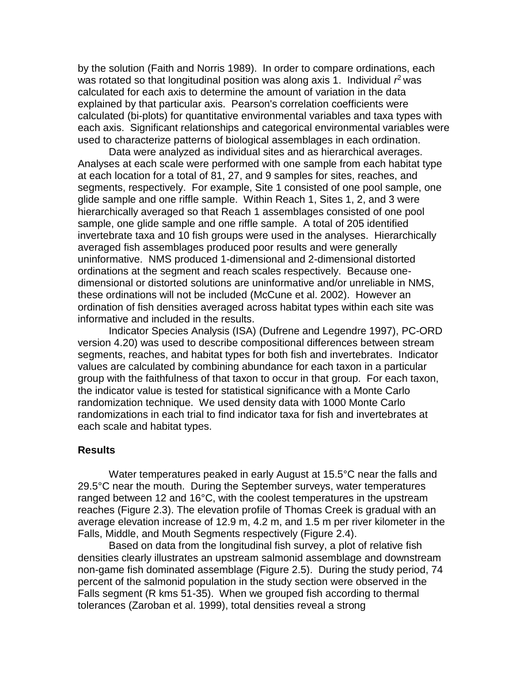by the solution (Faith and Norris 1989). In order to compare ordinations, each was rotated so that longitudinal position was along axis 1. Individual r<sup>2</sup> was calculated for each axis to determine the amount of variation in the data explained by that particular axis. Pearson's correlation coefficients were calculated (bi-plots) for quantitative environmental variables and taxa types with each axis. Significant relationships and categorical environmental variables were used to characterize patterns of biological assemblages in each ordination.

Data were analyzed as individual sites and as hierarchical averages. Analyses at each scale were performed with one sample from each habitat type at each location for a total of 81, 27, and 9 samples for sites, reaches, and segments, respectively. For example, Site 1 consisted of one pool sample, one glide sample and one riffle sample. Within Reach 1, Sites 1, 2, and 3 were hierarchically averaged so that Reach 1 assemblages consisted of one pool sample, one glide sample and one riffle sample. A total of 205 identified invertebrate taxa and 10 fish groups were used in the analyses. Hierarchically averaged fish assemblages produced poor results and were generally uninformative. NMS produced 1-dimensional and 2-dimensional distorted ordinations at the segment and reach scales respectively. Because onedimensional or distorted solutions are uninformative and/or unreliable in NMS, these ordinations will not be included (McCune et al. 2002). However an ordination of fish densities averaged across habitat types within each site was informative and included in the results.

Indicator Species Analysis (ISA) (Dufrene and Legendre 1997), PC-ORD version 4.20) was used to describe compositional differences between stream segments, reaches, and habitat types for both fish and invertebrates. Indicator values are calculated by combining abundance for each taxon in a particular group with the faithfulness of that taxon to occur in that group. For each taxon, the indicator value is tested for statistical significance with a Monte Carlo randomization technique. We used density data with 1000 Monte Carlo randomizations in each trial to find indicator taxa for fish and invertebrates at each scale and habitat types.

#### **Results**

Water temperatures peaked in early August at 15.5°C near the falls and 29.5°C near the mouth. During the September surveys, water temperatures ranged between 12 and 16°C, with the coolest temperatures in the upstream reaches (Figure 2.3). The elevation profile of Thomas Creek is gradual with an average elevation increase of 12.9 m, 4.2 m, and 1.5 m per river kilometer in the Falls, Middle, and Mouth Segments respectively (Figure 2.4).

Based on data from the longitudinal fish survey, a plot of relative fish densities clearly illustrates an upstream salmonid assemblage and downstream non-game fish dominated assemblage (Figure 2.5). During the study period, 74 percent of the salmonid population in the study section were observed in the Falls segment (R kms 51-35). When we grouped fish according to thermal tolerances (Zaroban et al. 1999), total densities reveal a strong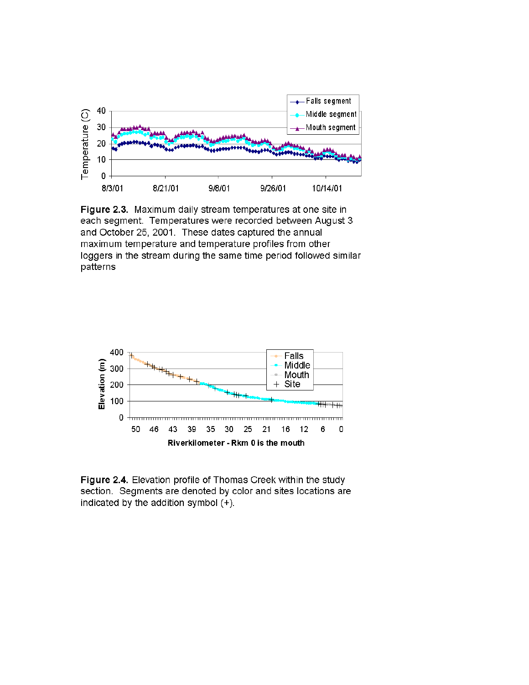

Figure 2.3. Maximum daily stream temperatures at one site in each segment. Temperatures were recorded between August 3 and October 25, 2001. These dates captured the annual maximum temperature and temperature profiles from other loggers in the stream during the same time period followed similar patterns



Figure 2.4. Elevation profile of Thomas Creek within the study section. Segments are denoted by color and sites locations are indicated by the addition symbol (+).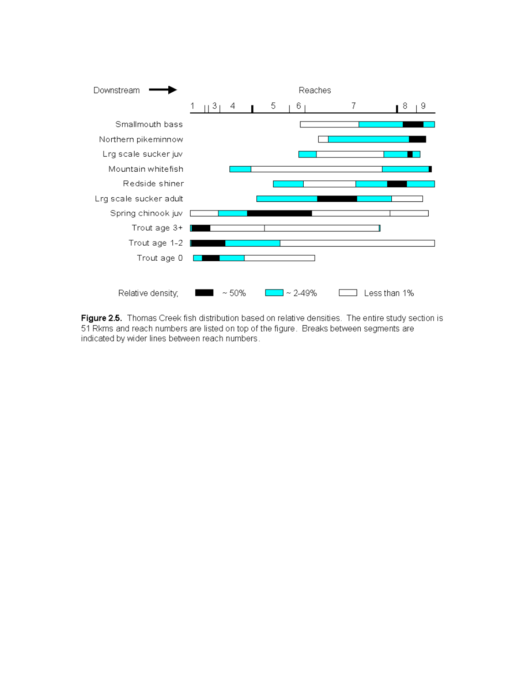

Figure 2.5. Thomas Creek fish distribution based on relative densities. The entire study section is 51 Rkms and reach numbers are listed on top of the figure. Breaks between segments are indicated by wider lines between reach numbers.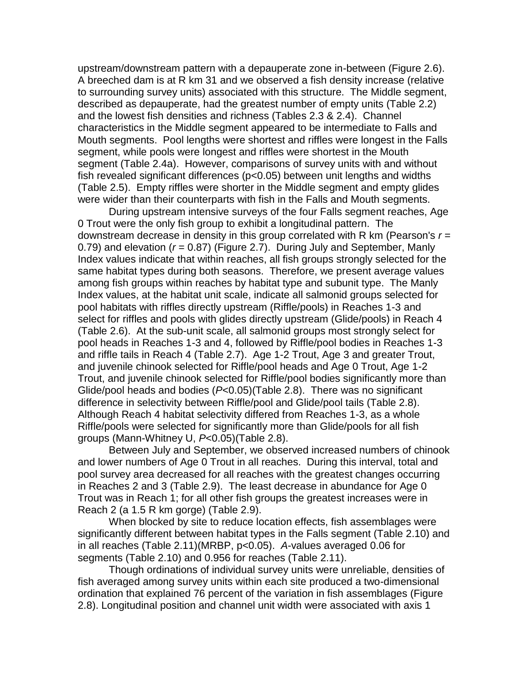upstream/downstream pattern with a depauperate zone in-between (Figure 2.6). A breeched dam is at R km 31 and we observed a fish density increase (relative to surrounding survey units) associated with this structure. The Middle segment, described as depauperate, had the greatest number of empty units (Table 2.2) and the lowest fish densities and richness (Tables 2.3 & 2.4). Channel characteristics in the Middle segment appeared to be intermediate to Falls and Mouth segments. Pool lengths were shortest and riffles were longest in the Falls segment, while pools were longest and riffles were shortest in the Mouth segment (Table 2.4a). However, comparisons of survey units with and without fish revealed significant differences (p<0.05) between unit lengths and widths (Table 2.5). Empty riffles were shorter in the Middle segment and empty glides were wider than their counterparts with fish in the Falls and Mouth segments.

During upstream intensive surveys of the four Falls segment reaches, Age 0 Trout were the only fish group to exhibit a longitudinal pattern. The downstream decrease in density in this group correlated with R km (Pearson's *r* = 0.79) and elevation (*r* = 0.87) (Figure 2.7). During July and September, Manly Index values indicate that within reaches, all fish groups strongly selected for the same habitat types during both seasons. Therefore, we present average values among fish groups within reaches by habitat type and subunit type. The Manly Index values, at the habitat unit scale, indicate all salmonid groups selected for pool habitats with riffles directly upstream (Riffle/pools) in Reaches 1-3 and select for riffles and pools with glides directly upstream (Glide/pools) in Reach 4 (Table 2.6). At the sub-unit scale, all salmonid groups most strongly select for pool heads in Reaches 1-3 and 4, followed by Riffle/pool bodies in Reaches 1-3 and riffle tails in Reach 4 (Table 2.7). Age 1-2 Trout, Age 3 and greater Trout, and juvenile chinook selected for Riffle/pool heads and Age 0 Trout, Age 1-2 Trout, and juvenile chinook selected for Riffle/pool bodies significantly more than Glide/pool heads and bodies (*P*<0.05)(Table 2.8). There was no significant difference in selectivity between Riffle/pool and Glide/pool tails (Table 2.8). Although Reach 4 habitat selectivity differed from Reaches 1-3, as a whole Riffle/pools were selected for significantly more than Glide/pools for all fish groups (Mann-Whitney U, *P*<0.05)(Table 2.8).

Between July and September, we observed increased numbers of chinook and lower numbers of Age 0 Trout in all reaches. During this interval, total and pool survey area decreased for all reaches with the greatest changes occurring in Reaches 2 and 3 (Table 2.9). The least decrease in abundance for Age 0 Trout was in Reach 1; for all other fish groups the greatest increases were in Reach 2 (a 1.5 R km gorge) (Table 2.9).

When blocked by site to reduce location effects, fish assemblages were significantly different between habitat types in the Falls segment (Table 2.10) and in all reaches (Table 2.11)(MRBP, p<0.05). *A*-values averaged 0.06 for segments (Table 2.10) and 0.956 for reaches (Table 2.11).

Though ordinations of individual survey units were unreliable, densities of fish averaged among survey units within each site produced a two-dimensional ordination that explained 76 percent of the variation in fish assemblages (Figure 2.8). Longitudinal position and channel unit width were associated with axis 1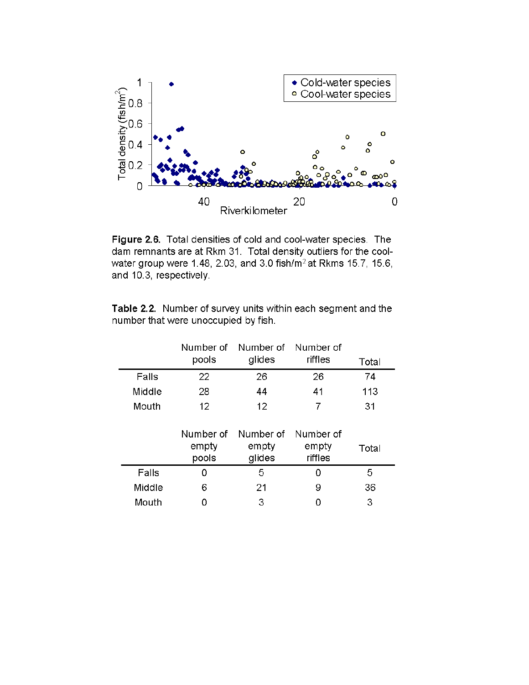

Figure 2.6. Total densities of cold and cool-water species. The dam remnants are at Rkm 31. Total density outliers for the coolwater group were 1.48, 2.03, and 3.0 fish/m<sup>2</sup> at Rkms 15.7, 15.6, and 10.3, respectively.

| <b>Table 2.2.</b> Number of survey units within each segment and the |
|----------------------------------------------------------------------|
| number that were unoccupied by fish.                                 |

|        | Number of<br>pools          | Number of<br>glides          | Number of<br>riffles          | Total |
|--------|-----------------------------|------------------------------|-------------------------------|-------|
| Falls  | 22                          | 26                           | 26                            | 74    |
| Middle | 28                          | 44                           | 41                            | 113   |
| Mouth  | 12 <sup>2</sup>             | 12                           | 7                             | 31    |
|        | Number of<br>empty<br>pools | Number of<br>empty<br>glides | Number of<br>empty<br>riffles | Total |
| Falls  | Ω                           | 5                            | 0                             | 5     |
| Middle | 6                           | 21                           | 9                             | 36    |
| Mouth  |                             | 3                            | 0                             | 3     |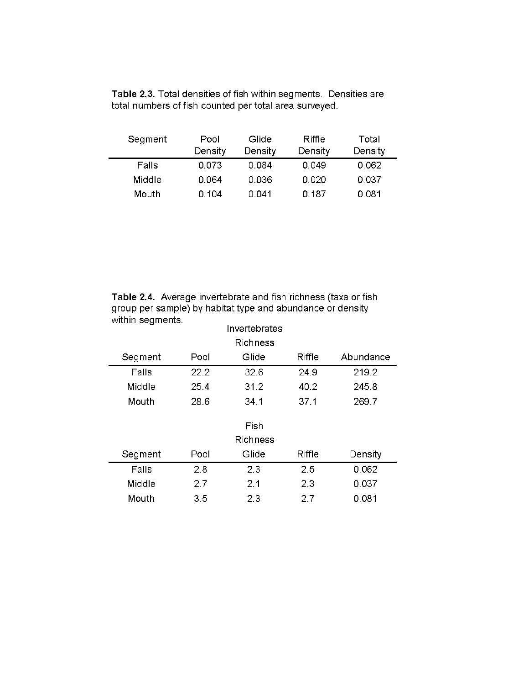| Segment | Pool<br>Density | Glide<br>Density | Riffle<br>Density | Total<br>Density |  |
|---------|-----------------|------------------|-------------------|------------------|--|
| Falls   | 0.073           | 0.084            | 0.049             | 0.062            |  |
| Middle  | 0.064           | 0.036            | 0.020             | 0.037            |  |
| Mouth   | 0.104           | 0.041            | 0.187             | 0.081            |  |

Table 2.3. Total densities of fish within segments. Densities are total numbers of fish counted per total area surveyed.

Table 2.4. Average invertebrate and fish richness (taxa or fish group per sample) by habitat type and abundance or density within seaments.

| ÷<br>Invertebrates |      |                 |        |           |  |  |  |  |
|--------------------|------|-----------------|--------|-----------|--|--|--|--|
| <b>Richness</b>    |      |                 |        |           |  |  |  |  |
| Segment            | Pool | Glide           | Riffle | Abundance |  |  |  |  |
| Falls              | 22.2 | 32.6            | 24.9   | 219.2     |  |  |  |  |
| Middle             | 25.4 | 31.2            | 40.2   | 245.8     |  |  |  |  |
| Mouth              | 28.6 | 34.1            | 37.1   | 269.7     |  |  |  |  |
|                    |      |                 |        |           |  |  |  |  |
|                    |      | Fish            |        |           |  |  |  |  |
|                    |      | <b>Richness</b> |        |           |  |  |  |  |
| Segment            | Pool | Glide           | Riffle | Density   |  |  |  |  |
| Falls              | 2.8  | 2.3             | 2.5    | 0.062     |  |  |  |  |
| Middle             | 2.7  | 2.1             | 2.3    | 0.037     |  |  |  |  |
| Mouth              | 3.5  | 2.3             | 2.7    | 0.081     |  |  |  |  |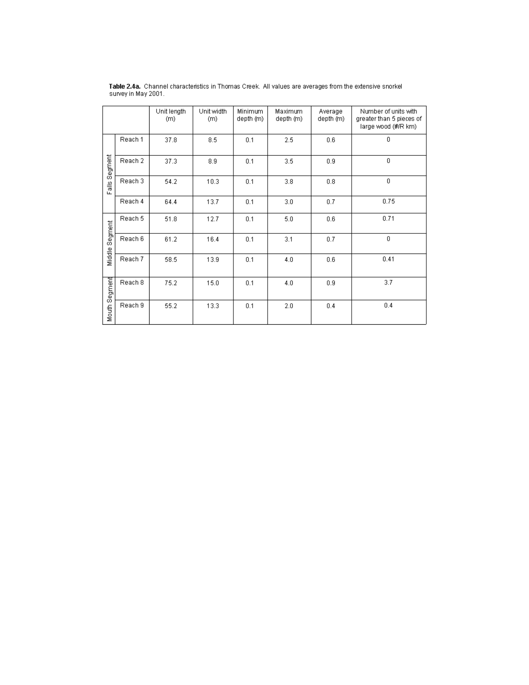|               |         | Unit length<br>(m) | Unit width<br>(m) | Minimum<br>depth (m) | Maximum<br>depth (m) | Average<br>depth (m) | Number of units with<br>greater than 5 pieces of<br>large wood (#/R km) |
|---------------|---------|--------------------|-------------------|----------------------|----------------------|----------------------|-------------------------------------------------------------------------|
|               | Reach 1 | 37.8               | 8.5               | 0.1                  | 2.5                  | 0.6                  | 0                                                                       |
| Falls Segment | Reach 2 | 37.3               | 8.9               | 0.1                  | 3.5                  | 0.9                  | 0                                                                       |
|               | Reach 3 | 54.2               | 10.3              | 0.1                  | 3.8                  | 0.8                  | 0                                                                       |
|               | Reach 4 | 64.4               | 13.7              | 0.1                  | 3.0                  | 0.7                  | 0.75                                                                    |
|               | Reach 5 | 51.8               | 12.7              | 0.1                  | 5.0                  | 0.6                  | 0.71                                                                    |
| Segment       | Reach 6 | 61.2               | 16.4              | 0.1                  | 3.1                  | 0.7                  | 0                                                                       |
| Middle        | Reach 7 | 58.5               | 13.9              | 0.1                  | 4.0                  | 0.6                  | 0.41                                                                    |
|               | Reach 8 | 75.2               | 15.0              | 0.1                  | 4.0                  | 0.9                  | $3.7\,$                                                                 |
| Mouth Segment | Reach 9 | 55.2               | 13.3              | 0.1                  | 2.0                  | 0.4                  | 0.4                                                                     |

Table 2.4a. Channel characteristics in Thomas Creek. All values are averages from the extensive snorkel<br>survey in May 2001.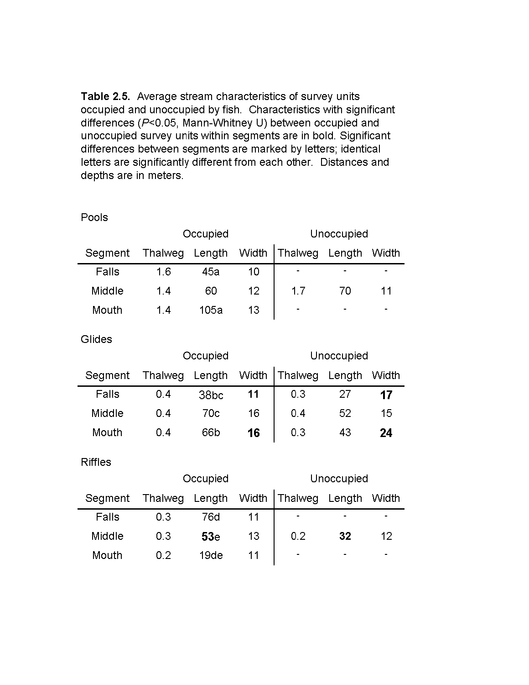Table 2.5. Average stream characteristics of survey units occupied and unoccupied by fish. Characteristics with significant differences (P<0.05, Mann-Whitney U) between occupied and unoccupied survey units within segments are in bold. Significant differences between segments are marked by letters; identical letters are significantly different from each other. Distances and depths are in meters.

| Pools   |          |        |       |                          |        |       |
|---------|----------|--------|-------|--------------------------|--------|-------|
|         | Occupied |        |       | Unoccupied               |        |       |
| Segment | Thalweg  | Length | Width | Thalweg                  | Length | Width |
| Falls   | 1.6      | 45a    | 10    |                          |        | ۰     |
| Middle  | 1.4      | 60     | 12    | 1.7                      | 70     | 11    |
| Mouth   | 1.4      | 105a   | 13    | $\overline{\phantom{a}}$ |        | -     |

**Glides** 

|         |         | Occupied         |       |         | Unoccupied |       |
|---------|---------|------------------|-------|---------|------------|-------|
| Segment | Thalweg | Length           | Width | Thalweg | Length     | Width |
| Falls   | 0.4     | 38 <sub>bc</sub> | 11    | 0.3     |            | 17    |
| Middle  | 0.4     | 70с              | 16    | 0.4     | 52         | 15    |
| Mouth   | 0.4     | 66b              | 16    | 0.3     | 43         | 24    |

# **Riffles**

|         |         | Occupied        |       | Unoccupied               |        |       |
|---------|---------|-----------------|-------|--------------------------|--------|-------|
| Segment | Thalweg | Length          | Width | Thalweg                  | Length | Width |
| Falls   | 0.3     | 76d             | 11    | $\blacksquare$           |        | -     |
| Middle  | 0.3     | 53 <sub>e</sub> | 13    | 0.2                      | 32     | 12    |
| Mouth   | 0.2     | 19de            |       | $\overline{\phantom{0}}$ | -      | -     |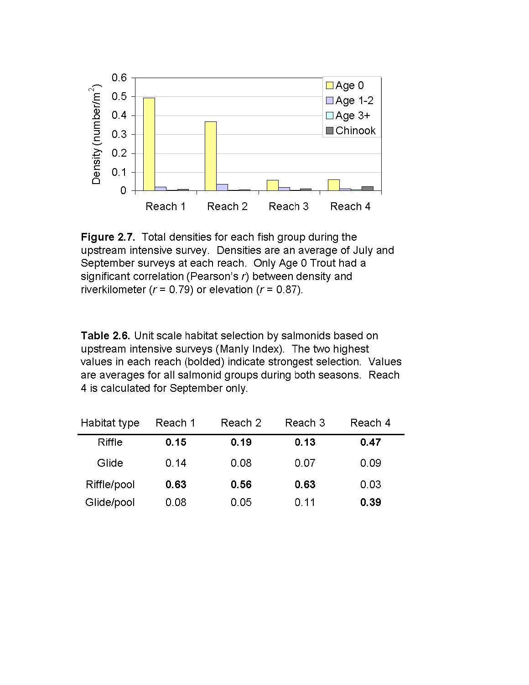



Table 2.6. Unit scale habitat selection by salmonids based on upstream intensive surveys (Manly Index). The two highest values in each reach (bolded) indicate strongest selection. Values are averages for all salmonid groups during both seasons. Reach 4 is calculated for September only.

| Habitat type | Reach 1 | Reach 2 | Reach 3 | Reach 4 |  |
|--------------|---------|---------|---------|---------|--|
| Riffle       | 0.15    | 0.19    | 0.13    | 0.47    |  |
| Glide        | 0.14    | 0.08    | 0.07    | 0.09    |  |
| Riffle/pool  | 0.63    | 0.56    | 0.63    | 0.03    |  |
| Glide/pool   | 0.08    | 0.05    | 0.11    | 0.39    |  |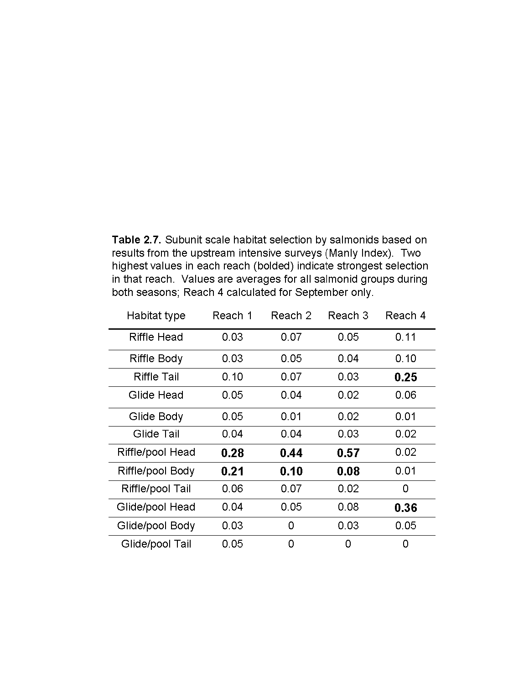Table 2.7. Subunit scale habitat selection by salmonids based on results from the upstream intensive surveys (Manly Index). Two highest values in each reach (bolded) indicate strongest selection in that reach. Values are averages for all salmonid groups during both seasons; Reach 4 calculated for September only.

| Habitat type     | Reach 1 | Reach 2 | Reach 3 | Reach 4 |
|------------------|---------|---------|---------|---------|
| Riffle Head      | 0.03    | 0.07    | 0.05    | 0.11    |
| Riffle Body      | 0.03    | 0.05    | 0.04    | 0.10    |
| Riffle Tail      | 0.10    | 0.07    | 0.03    | 0.25    |
| Glide Head       | 0.05    | 0.04    | 0.02    | 0.06    |
| Glide Body       | 0.05    | 0.01    | 0.02    | 0.01    |
| Glide Tail       | 0.04    | 0.04    | 0.03    | 0.02    |
| Riffle/pool Head | 0.28    | 0.44    | 0.57    | 0.02    |
| Riffle/pool Body | 0.21    | 0.10    | 0.08    | 0.01    |
| Riffle/pool Tail | 0.06    | 0.07    | 0.02    | 0       |
| Glide/pool Head  | 0.04    | 0.05    | 0.08    | 0.36    |
| Glide/pool Body  | 0.03    | 0       | 0.03    | 0.05    |
| Glide/pool Tail  | 0.05    | 0       | 0       | 0       |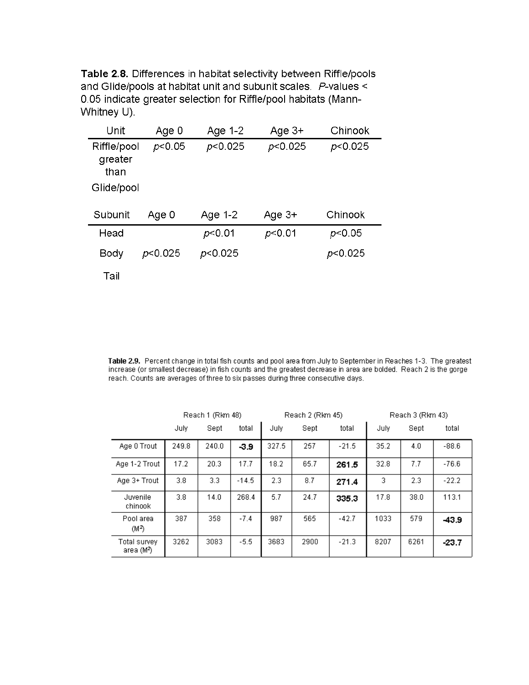Table 2.8. Differences in habitat selectivity between Riffle/pools and Glide/pools at habitat unit and subunit scales. P-values < 0.05 indicate greater selection for Riffle/pool habitats (Mann-Whitney U).

| Unit                                         | Age 0   | Age 1-2   | Age $3+$ | Chinook |
|----------------------------------------------|---------|-----------|----------|---------|
| Riffle/pool<br>greater<br>than<br>Glide/pool | p<0.05  | p<0.025   | p<0.025  | p<0.025 |
| Subunit                                      | Age 0   | Age $1-2$ | Age 3+   | Chinook |
| Head                                         |         | p<0.01    | p<0.01   | p<0.05  |
| Body                                         | p<0.025 | p<0.025   |          | p<0.025 |

Tail

Table 2.9. Percent change in total fish counts and pool area from July to September in Reaches 1-3. The greatest<br>increase (or smallest decrease) in fish counts and the greatest decrease in area are bolded. Reach 2 is the g reach. Counts are averages of three to six passes during three consecutive days.

|                                        | Reach 1 (Rkm 48) |       | Reach 2 (Rkm 45) |       |      | Reach 3 (Rkm 43) |      |      |         |
|----------------------------------------|------------------|-------|------------------|-------|------|------------------|------|------|---------|
|                                        | July             | Sept  | total            | July  | Sept | total            | July | Sept | total   |
| Age 0 Trout                            | 249.8            | 240.0 | $-3.9$           | 327.5 | 257  | $-21.5$          | 35.2 | 4.0  | $-88.6$ |
| Age 1-2 Trout                          | 17.2             | 20.3  | 17.7             | 18.2  | 65.7 | 261.5            | 32.8 | 7.7  | $-76.6$ |
| Age 3+ Trout                           | 3.8              | 3.3   | $-14.5$          | 2.3   | 8.7  | 271.4            | 3    | 2.3  | $-22.2$ |
| Juvenile<br>chinook                    | 3.8              | 14.0  | 268.4            | 5.7   | 24.7 | 335.3            | 17.8 | 38.0 | 113.1   |
| Pool area<br>(M <sup>2</sup> )         | 387              | 358   | $-7.4$           | 987   | 565  | $-42.7$          | 1033 | 579  | $-43.9$ |
| Total survey<br>area (M <sup>2</sup> ) | 3262             | 3083  | $-5.5$           | 3683  | 2900 | $-21.3$          | 8207 | 6261 | $-23.7$ |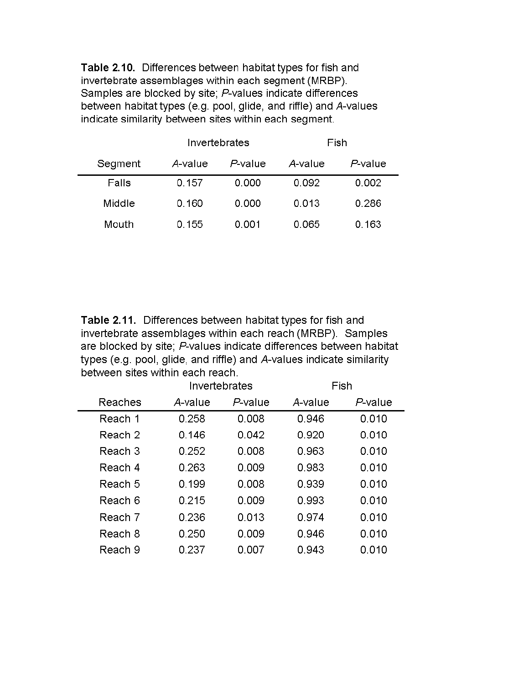Table 2.10. Differences between habitat types for fish and invertebrate assemblages within each segment (MRBP). Samples are blocked by site; P-values indicate differences between habitat types (e.g. pool, glide, and riffle) and A-values indicate similarity between sites within each segment.

|         |         | Invertebrates | Fish    |         |  |
|---------|---------|---------------|---------|---------|--|
| Segment | A-value | $P$ -value    | A-value | P-value |  |
| Falls   | 0.157   | 0.000         | 0.092   | 0.002   |  |
| Middle  | 0.160   | 0.000         | 0.013   | 0.286   |  |
| Mouth   | 0.155   | 0.001         | 0.065   | 0.163   |  |

Table 2.11. Differences between habitat types for fish and invertebrate assemblages within each reach (MRBP). Samples are blocked by site; P-values indicate differences between habitat types (e.g. pool, glide, and riffle) and A-values indicate similarity between sites within each reach.

|         |         | Invertebrates | Fish    |         |  |
|---------|---------|---------------|---------|---------|--|
| Reaches | A-value | P-value       | A-value | P-value |  |
| Reach 1 | 0.258   | 0.008         | 0.946   | 0.010   |  |
| Reach 2 | 0.146   | 0.042         | 0.920   | 0.010   |  |
| Reach 3 | 0.252   | 0.008         | 0.963   | 0.010   |  |
| Reach 4 | 0.263   | 0.009         | 0.983   | 0.010   |  |
| Reach 5 | 0.199   | 0.008         | 0.939   | 0.010   |  |
| Reach 6 | 0.215   | 0.009         | 0.993   | 0.010   |  |
| Reach 7 | 0.236   | 0.013         | 0.974   | 0.010   |  |
| Reach 8 | 0.250   | 0.009         | 0.946   | 0.010   |  |
| Reach 9 | 0.237   | 0.007         | 0.943   | 0.010   |  |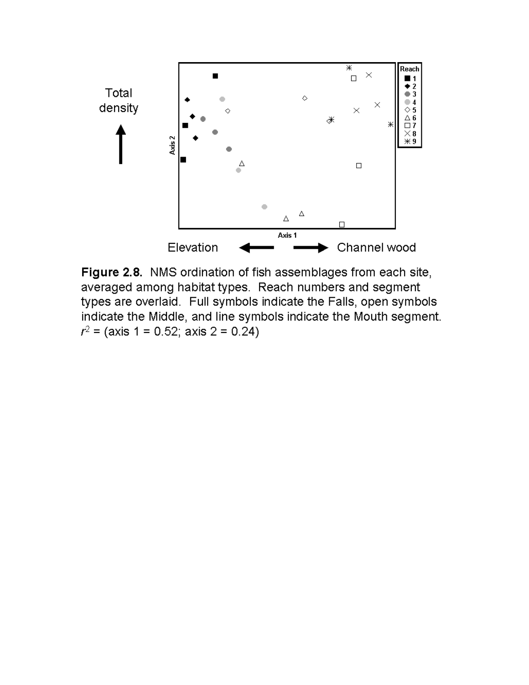

Figure 2.8. NMS ordination of fish assemblages from each site, averaged among habitat types. Reach numbers and segment types are overlaid. Full symbols indicate the Falls, open symbols indicate the Middle, and line symbols indicate the Mouth segment.  $r^2$  = (axis 1 = 0.52; axis 2 = 0.24)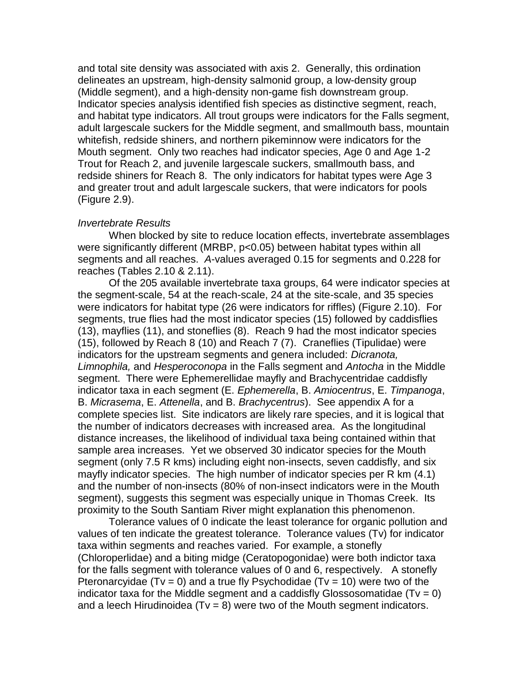and total site density was associated with axis 2. Generally, this ordination delineates an upstream, high-density salmonid group, a low-density group (Middle segment), and a high-density non-game fish downstream group. Indicator species analysis identified fish species as distinctive segment, reach, and habitat type indicators. All trout groups were indicators for the Falls segment, adult largescale suckers for the Middle segment, and smallmouth bass, mountain whitefish, redside shiners, and northern pikeminnow were indicators for the Mouth segment. Only two reaches had indicator species, Age 0 and Age 1-2 Trout for Reach 2, and juvenile largescale suckers, smallmouth bass, and redside shiners for Reach 8. The only indicators for habitat types were Age 3 and greater trout and adult largescale suckers, that were indicators for pools (Figure 2.9).

## *Invertebrate Results*

When blocked by site to reduce location effects, invertebrate assemblages were significantly different (MRBP, p<0.05) between habitat types within all segments and all reaches. *A*-values averaged 0.15 for segments and 0.228 for reaches (Tables 2.10 & 2.11).

Of the 205 available invertebrate taxa groups, 64 were indicator species at the segment-scale, 54 at the reach-scale, 24 at the site-scale, and 35 species were indicators for habitat type (26 were indicators for riffles) (Figure 2.10). For segments, true flies had the most indicator species (15) followed by caddisflies (13), mayflies (11), and stoneflies (8). Reach 9 had the most indicator species (15), followed by Reach 8 (10) and Reach 7 (7). Craneflies (Tipulidae) were indicators for the upstream segments and genera included: *Dicranota, Limnophila,* and *Hesperoconopa* in the Falls segment and *Antocha* in the Middle segment. There were Ephemerellidae mayfly and Brachycentridae caddisfly indicator taxa in each segment (E. *Ephemerella*, B. *Amiocentrus*, E. *Timpanoga*, B. *Micrasema*, E. *Attenella*, and B. *Brachycentrus*). See appendix A for a complete species list. Site indicators are likely rare species, and it is logical that the number of indicators decreases with increased area. As the longitudinal distance increases, the likelihood of individual taxa being contained within that sample area increases. Yet we observed 30 indicator species for the Mouth segment (only 7.5 R kms) including eight non-insects, seven caddisfly, and six mayfly indicator species. The high number of indicator species per R km (4.1) and the number of non-insects (80% of non-insect indicators were in the Mouth segment), suggests this segment was especially unique in Thomas Creek. Its proximity to the South Santiam River might explanation this phenomenon.

Tolerance values of 0 indicate the least tolerance for organic pollution and values of ten indicate the greatest tolerance. Tolerance values (Tv) for indicator taxa within segments and reaches varied. For example, a stonefly (Chloroperlidae) and a biting midge (Ceratopogonidae) were both indictor taxa for the falls segment with tolerance values of 0 and 6, respectively. A stonefly Pteronarcyidae (Tv = 0) and a true fly Psychodidae (Tv = 10) were two of the indicator taxa for the Middle segment and a caddisfly Glossosomatidae  $(Tv = 0)$ and a leech Hirudinoidea ( $Tv = 8$ ) were two of the Mouth segment indicators.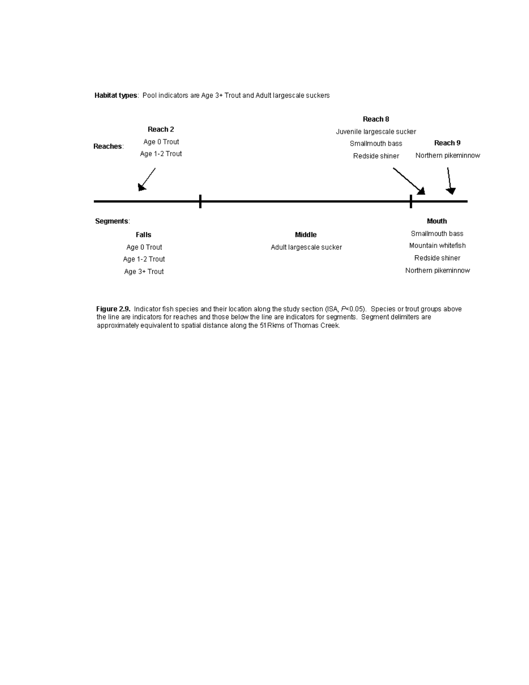

Habitat types: Pool indicators are Age 3+ Trout and Adult largescale suckers

Figure 2.9. Indicator fish species and their location along the study section (ISA, P<0.05). Species or trout groups above the line are indicators for reaches and those below the line are indicators for segments. Segment delimiters are approximately equivalent to spatial distance along the 51 Rkms of Thomas Creek.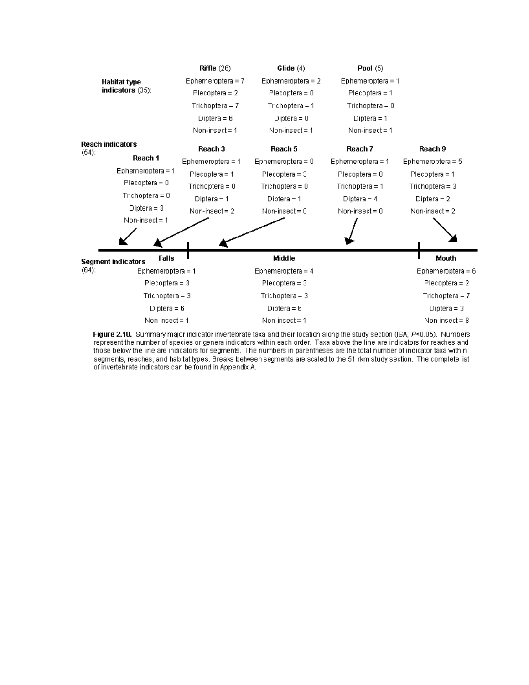

Figure 2.10. Summary major indicator invertebrate taxa and their location along the study section (ISA, P<0.05). Numbers represent the number of species or genera indicators within each order. Taxa above the line are indicators for reaches and those below the line are indicators for segments. The numbers in parentheses are the total number of indicator taxa within segments, reaches, and habitat types. Breaks between segments are scaled to the 51 rkm study section. The complete list of invertebrate indicators can be found in Appendix A.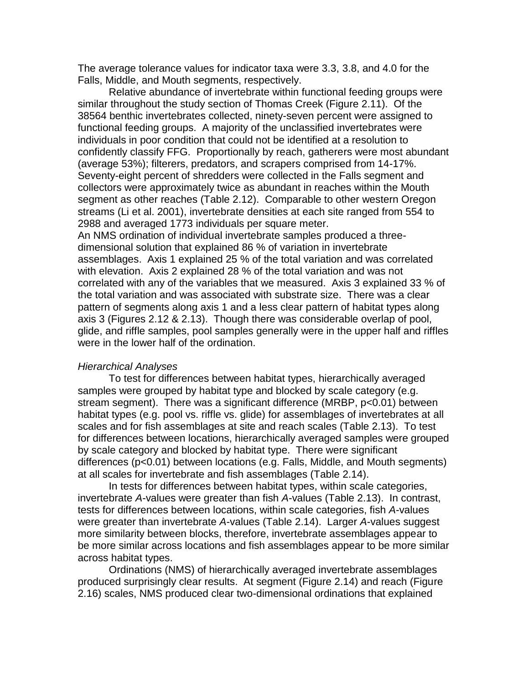The average tolerance values for indicator taxa were 3.3, 3.8, and 4.0 for the Falls, Middle, and Mouth segments, respectively.

Relative abundance of invertebrate within functional feeding groups were similar throughout the study section of Thomas Creek (Figure 2.11). Of the 38564 benthic invertebrates collected, ninety-seven percent were assigned to functional feeding groups. A majority of the unclassified invertebrates were individuals in poor condition that could not be identified at a resolution to confidently classify FFG. Proportionally by reach, gatherers were most abundant (average 53%); filterers, predators, and scrapers comprised from 14-17%. Seventy-eight percent of shredders were collected in the Falls segment and collectors were approximately twice as abundant in reaches within the Mouth segment as other reaches (Table 2.12). Comparable to other western Oregon streams (Li et al. 2001), invertebrate densities at each site ranged from 554 to 2988 and averaged 1773 individuals per square meter.

An NMS ordination of individual invertebrate samples produced a threedimensional solution that explained 86 % of variation in invertebrate assemblages. Axis 1 explained 25 % of the total variation and was correlated with elevation. Axis 2 explained 28 % of the total variation and was not correlated with any of the variables that we measured. Axis 3 explained 33 % of the total variation and was associated with substrate size. There was a clear pattern of segments along axis 1 and a less clear pattern of habitat types along axis 3 (Figures 2.12 & 2.13). Though there was considerable overlap of pool, glide, and riffle samples, pool samples generally were in the upper half and riffles were in the lower half of the ordination.

#### *Hierarchical Analyses*

To test for differences between habitat types, hierarchically averaged samples were grouped by habitat type and blocked by scale category (e.g. stream segment). There was a significant difference (MRBP, p<0.01) between habitat types (e.g. pool vs. riffle vs. glide) for assemblages of invertebrates at all scales and for fish assemblages at site and reach scales (Table 2.13). To test for differences between locations, hierarchically averaged samples were grouped by scale category and blocked by habitat type. There were significant differences (p<0.01) between locations (e.g. Falls, Middle, and Mouth segments) at all scales for invertebrate and fish assemblages (Table 2.14).

In tests for differences between habitat types, within scale categories, invertebrate *A*-values were greater than fish *A*-values (Table 2.13). In contrast, tests for differences between locations, within scale categories, fish *A*-values were greater than invertebrate *A*-values (Table 2.14). Larger *A*-values suggest more similarity between blocks, therefore, invertebrate assemblages appear to be more similar across locations and fish assemblages appear to be more similar across habitat types.

Ordinations (NMS) of hierarchically averaged invertebrate assemblages produced surprisingly clear results. At segment (Figure 2.14) and reach (Figure 2.16) scales, NMS produced clear two-dimensional ordinations that explained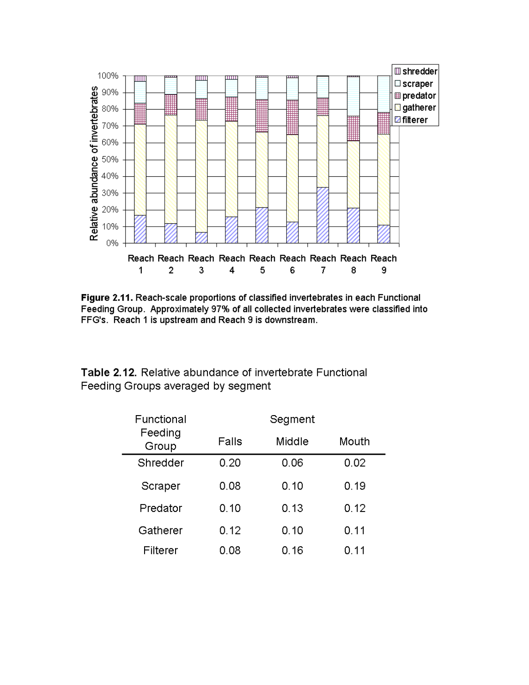

Figure 2.11. Reach-scale proportions of classified invertebrates in each Functional Feeding Group. Approximately 97% of all collected invertebrates were classified into FFG's. Reach 1 is upstream and Reach 9 is downstream.

Table 2.12. Relative abundance of invertebrate Functional Feeding Groups averaged by segment

| Functional       | Segment |        |       |  |  |
|------------------|---------|--------|-------|--|--|
| Feeding<br>Group | Falls   | Middle | Mouth |  |  |
| Shredder         | 0.20    | 0.06   | 0.02  |  |  |
| Scraper          | 0.08    | 0.10   | 0.19  |  |  |
| Predator         | 0.10    | 0.13   | 0.12  |  |  |
| Gatherer         | 0.12    | 0.10   | 0.11  |  |  |
| Filterer         | 0.08    | 0.16   | 0.11  |  |  |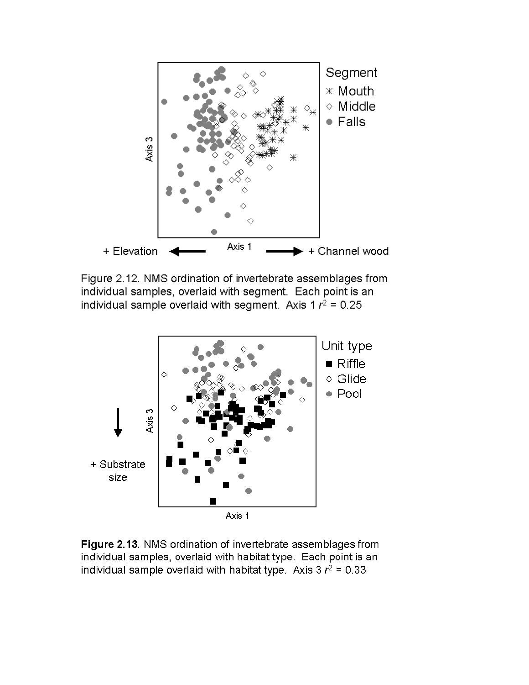

Figure 2.12. NMS ordination of invertebrate assemblages from individual samples, overlaid with segment. Each point is an individual sample overlaid with segment. Axis 1  $r^2$  = 0.25



Figure 2.13. NMS ordination of invertebrate assemblages from individual samples, overlaid with habitat type. Each point is an individual sample overlaid with habitat type. Axis  $3 r^2 = 0.33$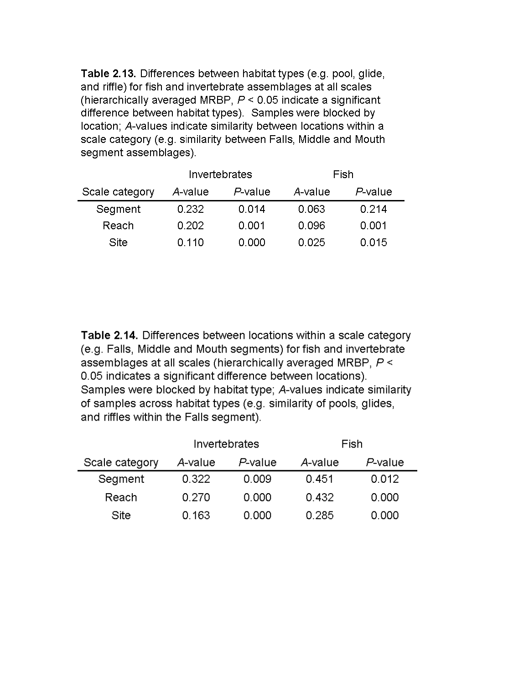Table 2.13. Differences between habitat types (e.g. pool, glide, and riffle) for fish and invertebrate assemblages at all scales (hierarchically averaged MRBP,  $P < 0.05$  indicate a significant difference between habitat types). Samples were blocked by location; A-values indicate similarity between locations within a scale category (e.g. similarity between Falls, Middle and Mouth segment assemblages).

|                | Invertebrates |         | Fish    |         |  |
|----------------|---------------|---------|---------|---------|--|
| Scale category | A-value       | P-value | A-value | P-value |  |
| Segment        | 0.232         | 0.014   | 0.063   | 0.214   |  |
| Reach          | 0.202         | 0.001   | 0.096   | 0.001   |  |
| Site           | 0.110         | 0.000   | 0.025   | 0.015   |  |

Table 2.14. Differences between locations within a scale category (e.g. Falls, Middle and Mouth segments) for fish and invertebrate assemblages at all scales (hierarchically averaged MRBP, P < 0.05 indicates a significant difference between locations). Samples were blocked by habitat type; A-values indicate similarity of samples across habitat types (e.g. similarity of pools, glides, and riffles within the Falls segment).

|                |         | Invertebrates | Fish    |         |
|----------------|---------|---------------|---------|---------|
| Scale category | A-value | P-value       | A-value | P-value |
| Segment        | 0.322   | 0.009         | 0.451   | 0.012   |
| Reach          | 0.270   | 0.000         | 0.432   | 0.000   |
| Site           | 0.163   | 0.000         | 0.285   | 0.000   |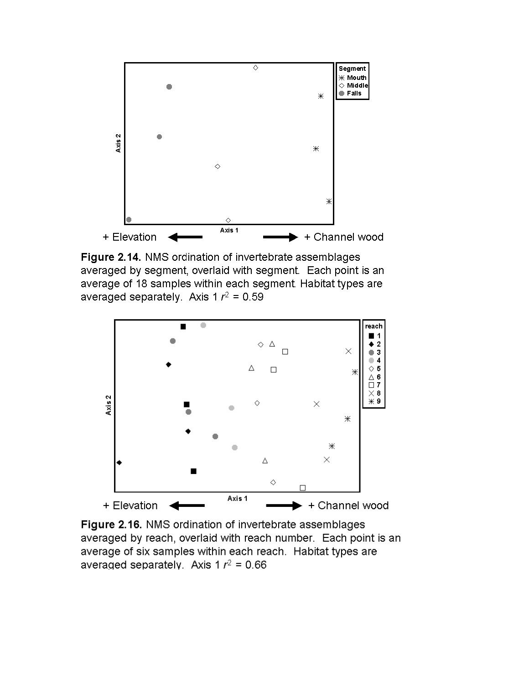

Figure 2.14. NMS ordination of invertebrate assemblages averaged by segment, overlaid with segment. Each point is an average of 18 samples within each segment. Habitat types are averaged separately. Axis 1 $r^2$  = 0.59



Figure 2.16. NMS ordination of invertebrate assemblages averaged by reach, overlaid with reach number. Each point is an average of six samples within each reach. Habitat types are averaged separately. Axis 1 $r^2$  = 0.66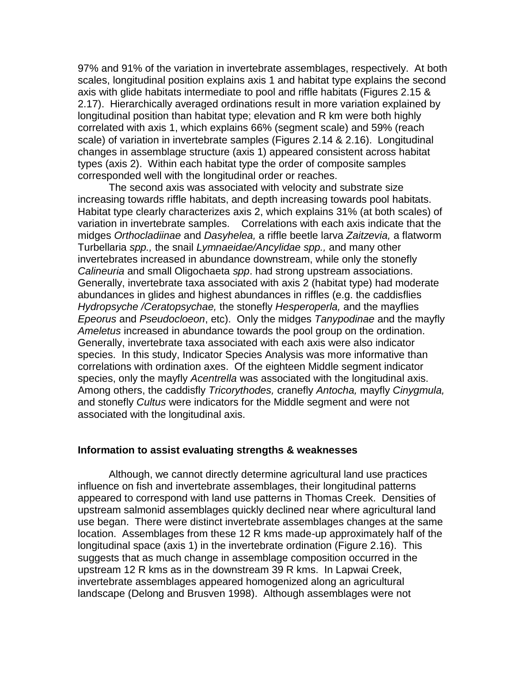97% and 91% of the variation in invertebrate assemblages, respectively. At both scales, longitudinal position explains axis 1 and habitat type explains the second axis with glide habitats intermediate to pool and riffle habitats (Figures 2.15 & 2.17). Hierarchically averaged ordinations result in more variation explained by longitudinal position than habitat type; elevation and R km were both highly correlated with axis 1, which explains 66% (segment scale) and 59% (reach scale) of variation in invertebrate samples (Figures 2.14 & 2.16). Longitudinal changes in assemblage structure (axis 1) appeared consistent across habitat types (axis 2). Within each habitat type the order of composite samples corresponded well with the longitudinal order or reaches.

The second axis was associated with velocity and substrate size increasing towards riffle habitats, and depth increasing towards pool habitats. Habitat type clearly characterizes axis 2, which explains 31% (at both scales) of variation in invertebrate samples. Correlations with each axis indicate that the midges *Orthocladiinae* and *Dasyhelea,* a riffle beetle larva *Zaitzevia,* a flatworm Turbellaria *spp.,* the snail *Lymnaeidae/Ancylidae spp.,* and many other invertebrates increased in abundance downstream, while only the stonefly *Calineuria* and small Oligochaeta *spp*. had strong upstream associations. Generally, invertebrate taxa associated with axis 2 (habitat type) had moderate abundances in glides and highest abundances in riffles (e.g. the caddisflies *Hydropsyche /Ceratopsychae,* the stonefly *Hesperoperla,* and the mayflies *Epeorus* and *Pseudocloeon*, etc). Only the midges *Tanypodinae* and the mayfly *Ameletus* increased in abundance towards the pool group on the ordination. Generally, invertebrate taxa associated with each axis were also indicator species. In this study, Indicator Species Analysis was more informative than correlations with ordination axes. Of the eighteen Middle segment indicator species, only the mayfly *Acentrella* was associated with the longitudinal axis. Among others, the caddisfly *Tricorythodes,* cranefly *Antocha,* mayfly *Cinygmula,* and stonefly *Cultus* were indicators for the Middle segment and were not associated with the longitudinal axis.

#### **Information to assist evaluating strengths & weaknesses**

Although, we cannot directly determine agricultural land use practices influence on fish and invertebrate assemblages, their longitudinal patterns appeared to correspond with land use patterns in Thomas Creek. Densities of upstream salmonid assemblages quickly declined near where agricultural land use began. There were distinct invertebrate assemblages changes at the same location. Assemblages from these 12 R kms made-up approximately half of the longitudinal space (axis 1) in the invertebrate ordination (Figure 2.16). This suggests that as much change in assemblage composition occurred in the upstream 12 R kms as in the downstream 39 R kms. In Lapwai Creek, invertebrate assemblages appeared homogenized along an agricultural landscape (Delong and Brusven 1998). Although assemblages were not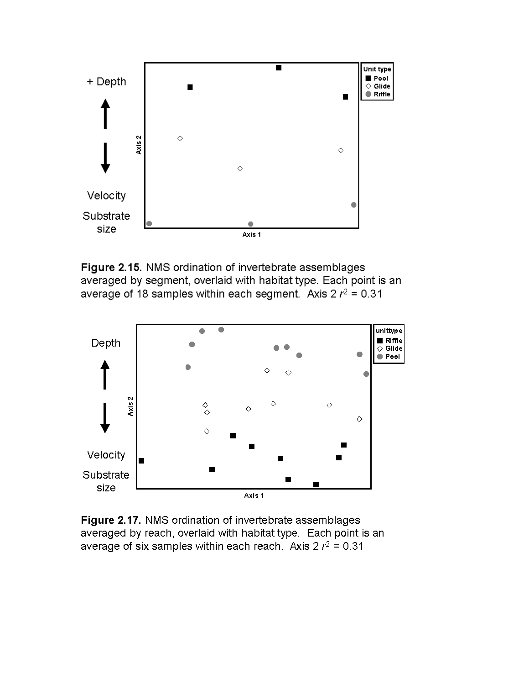

Figure 2.15. NMS ordination of invertebrate assemblages averaged by segment, overlaid with habitat type. Each point is an average of 18 samples within each segment. Axis  $2r^2 = 0.31$ 



Figure 2.17. NMS ordination of invertebrate assemblages averaged by reach, overlaid with habitat type. Each point is an average of six samples within each reach. Axis  $2r^2 = 0.31$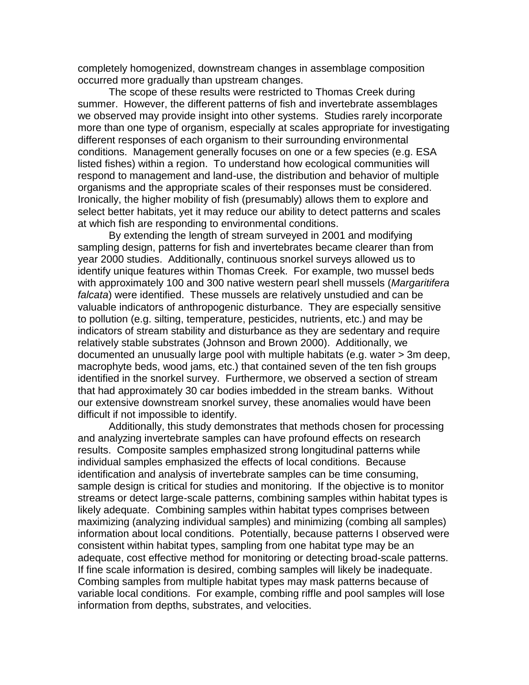completely homogenized, downstream changes in assemblage composition occurred more gradually than upstream changes.

The scope of these results were restricted to Thomas Creek during summer. However, the different patterns of fish and invertebrate assemblages we observed may provide insight into other systems. Studies rarely incorporate more than one type of organism, especially at scales appropriate for investigating different responses of each organism to their surrounding environmental conditions. Management generally focuses on one or a few species (e.g. ESA listed fishes) within a region. To understand how ecological communities will respond to management and land-use, the distribution and behavior of multiple organisms and the appropriate scales of their responses must be considered. Ironically, the higher mobility of fish (presumably) allows them to explore and select better habitats, yet it may reduce our ability to detect patterns and scales at which fish are responding to environmental conditions.

By extending the length of stream surveyed in 2001 and modifying sampling design, patterns for fish and invertebrates became clearer than from year 2000 studies. Additionally, continuous snorkel surveys allowed us to identify unique features within Thomas Creek. For example, two mussel beds with approximately 100 and 300 native western pearl shell mussels (*Margaritifera falcata*) were identified. These mussels are relatively unstudied and can be valuable indicators of anthropogenic disturbance. They are especially sensitive to pollution (e.g. silting, temperature, pesticides, nutrients, etc.) and may be indicators of stream stability and disturbance as they are sedentary and require relatively stable substrates (Johnson and Brown 2000). Additionally, we documented an unusually large pool with multiple habitats (e.g. water > 3m deep, macrophyte beds, wood jams, etc.) that contained seven of the ten fish groups identified in the snorkel survey. Furthermore, we observed a section of stream that had approximately 30 car bodies imbedded in the stream banks. Without our extensive downstream snorkel survey, these anomalies would have been difficult if not impossible to identify.

Additionally, this study demonstrates that methods chosen for processing and analyzing invertebrate samples can have profound effects on research results. Composite samples emphasized strong longitudinal patterns while individual samples emphasized the effects of local conditions. Because identification and analysis of invertebrate samples can be time consuming, sample design is critical for studies and monitoring. If the objective is to monitor streams or detect large-scale patterns, combining samples within habitat types is likely adequate. Combining samples within habitat types comprises between maximizing (analyzing individual samples) and minimizing (combing all samples) information about local conditions. Potentially, because patterns I observed were consistent within habitat types, sampling from one habitat type may be an adequate, cost effective method for monitoring or detecting broad-scale patterns. If fine scale information is desired, combing samples will likely be inadequate. Combing samples from multiple habitat types may mask patterns because of variable local conditions. For example, combing riffle and pool samples will lose information from depths, substrates, and velocities.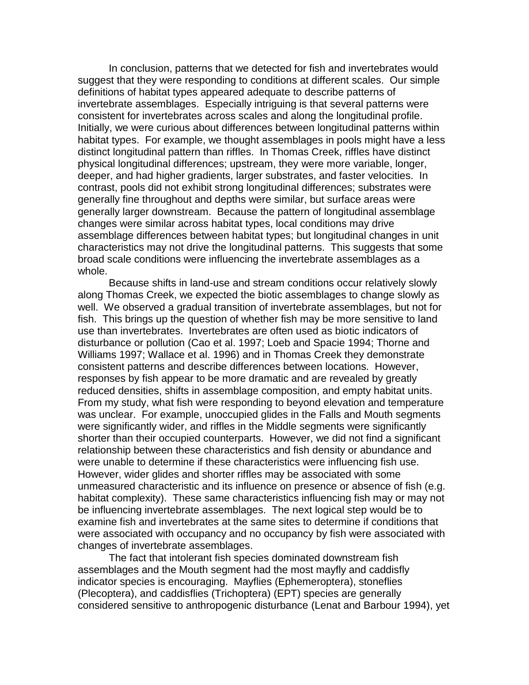In conclusion, patterns that we detected for fish and invertebrates would suggest that they were responding to conditions at different scales. Our simple definitions of habitat types appeared adequate to describe patterns of invertebrate assemblages. Especially intriguing is that several patterns were consistent for invertebrates across scales and along the longitudinal profile. Initially, we were curious about differences between longitudinal patterns within habitat types. For example, we thought assemblages in pools might have a less distinct longitudinal pattern than riffles. In Thomas Creek, riffles have distinct physical longitudinal differences; upstream, they were more variable, longer, deeper, and had higher gradients, larger substrates, and faster velocities. In contrast, pools did not exhibit strong longitudinal differences; substrates were generally fine throughout and depths were similar, but surface areas were generally larger downstream. Because the pattern of longitudinal assemblage changes were similar across habitat types, local conditions may drive assemblage differences between habitat types; but longitudinal changes in unit characteristics may not drive the longitudinal patterns. This suggests that some broad scale conditions were influencing the invertebrate assemblages as a whole.

Because shifts in land-use and stream conditions occur relatively slowly along Thomas Creek, we expected the biotic assemblages to change slowly as well. We observed a gradual transition of invertebrate assemblages, but not for fish. This brings up the question of whether fish may be more sensitive to land use than invertebrates. Invertebrates are often used as biotic indicators of disturbance or pollution (Cao et al. 1997; Loeb and Spacie 1994; Thorne and Williams 1997; Wallace et al. 1996) and in Thomas Creek they demonstrate consistent patterns and describe differences between locations. However, responses by fish appear to be more dramatic and are revealed by greatly reduced densities, shifts in assemblage composition, and empty habitat units. From my study, what fish were responding to beyond elevation and temperature was unclear. For example, unoccupied glides in the Falls and Mouth segments were significantly wider, and riffles in the Middle segments were significantly shorter than their occupied counterparts. However, we did not find a significant relationship between these characteristics and fish density or abundance and were unable to determine if these characteristics were influencing fish use. However, wider glides and shorter riffles may be associated with some unmeasured characteristic and its influence on presence or absence of fish (e.g. habitat complexity). These same characteristics influencing fish may or may not be influencing invertebrate assemblages. The next logical step would be to examine fish and invertebrates at the same sites to determine if conditions that were associated with occupancy and no occupancy by fish were associated with changes of invertebrate assemblages.

The fact that intolerant fish species dominated downstream fish assemblages and the Mouth segment had the most mayfly and caddisfly indicator species is encouraging. Mayflies (Ephemeroptera), stoneflies (Plecoptera), and caddisflies (Trichoptera) (EPT) species are generally considered sensitive to anthropogenic disturbance (Lenat and Barbour 1994), yet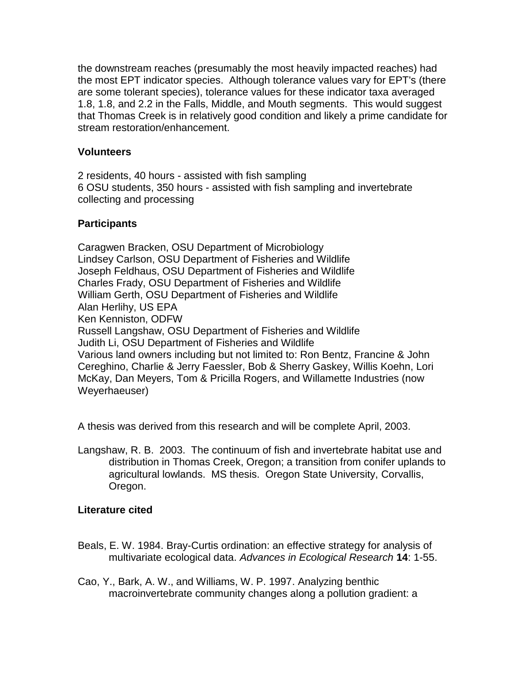the downstream reaches (presumably the most heavily impacted reaches) had the most EPT indicator species. Although tolerance values vary for EPT's (there are some tolerant species), tolerance values for these indicator taxa averaged 1.8, 1.8, and 2.2 in the Falls, Middle, and Mouth segments. This would suggest that Thomas Creek is in relatively good condition and likely a prime candidate for stream restoration/enhancement.

## **Volunteers**

2 residents, 40 hours - assisted with fish sampling 6 OSU students, 350 hours - assisted with fish sampling and invertebrate collecting and processing

# **Participants**

Caragwen Bracken, OSU Department of Microbiology Lindsey Carlson, OSU Department of Fisheries and Wildlife Joseph Feldhaus, OSU Department of Fisheries and Wildlife Charles Frady, OSU Department of Fisheries and Wildlife William Gerth, OSU Department of Fisheries and Wildlife Alan Herlihy, US EPA Ken Kenniston, ODFW Russell Langshaw, OSU Department of Fisheries and Wildlife Judith Li, OSU Department of Fisheries and Wildlife Various land owners including but not limited to: Ron Bentz, Francine & John Cereghino, Charlie & Jerry Faessler, Bob & Sherry Gaskey, Willis Koehn, Lori McKay, Dan Meyers, Tom & Pricilla Rogers, and Willamette Industries (now Weyerhaeuser)

A thesis was derived from this research and will be complete April, 2003.

Langshaw, R. B. 2003. The continuum of fish and invertebrate habitat use and distribution in Thomas Creek, Oregon; a transition from conifer uplands to agricultural lowlands. MS thesis. Oregon State University, Corvallis, Oregon.

# **Literature cited**

- Beals, E. W. 1984. Bray-Curtis ordination: an effective strategy for analysis of multivariate ecological data. *Advances in Ecological Research* **14**: 1-55.
- Cao, Y., Bark, A. W., and Williams, W. P. 1997. Analyzing benthic macroinvertebrate community changes along a pollution gradient: a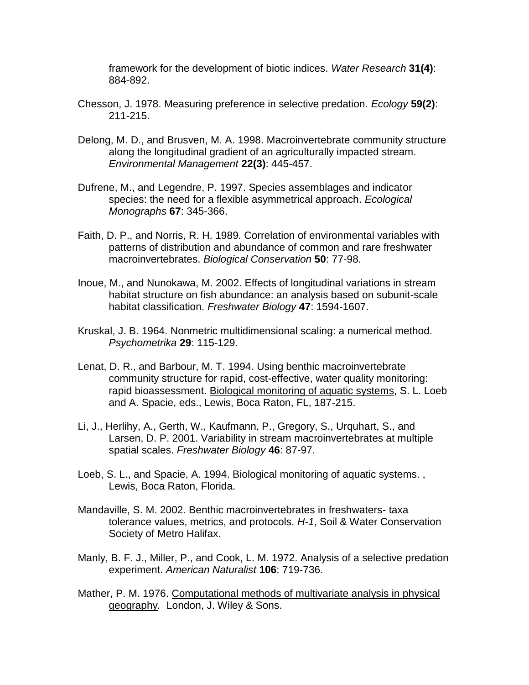framework for the development of biotic indices. *Water Research* **31(4)**: 884-892.

- Chesson, J. 1978. Measuring preference in selective predation. *Ecology* **59(2)**: 211-215.
- Delong, M. D., and Brusven, M. A. 1998. Macroinvertebrate community structure along the longitudinal gradient of an agriculturally impacted stream. *Environmental Management* **22(3)**: 445-457.
- Dufrene, M., and Legendre, P. 1997. Species assemblages and indicator species: the need for a flexible asymmetrical approach. *Ecological Monographs* **67**: 345-366.
- Faith, D. P., and Norris, R. H. 1989. Correlation of environmental variables with patterns of distribution and abundance of common and rare freshwater macroinvertebrates. *Biological Conservation* **50**: 77-98.
- Inoue, M., and Nunokawa, M. 2002. Effects of longitudinal variations in stream habitat structure on fish abundance: an analysis based on subunit-scale habitat classification. *Freshwater Biology* **47**: 1594-1607.
- Kruskal, J. B. 1964. Nonmetric multidimensional scaling: a numerical method. *Psychometrika* **29**: 115-129.
- Lenat, D. R., and Barbour, M. T. 1994. Using benthic macroinvertebrate community structure for rapid, cost-effective, water quality monitoring: rapid bioassessment. Biological monitoring of aquatic systems, S. L. Loeb and A. Spacie, eds., Lewis, Boca Raton, FL, 187-215.
- Li, J., Herlihy, A., Gerth, W., Kaufmann, P., Gregory, S., Urquhart, S., and Larsen, D. P. 2001. Variability in stream macroinvertebrates at multiple spatial scales. *Freshwater Biology* **46**: 87-97.
- Loeb, S. L., and Spacie, A. 1994. Biological monitoring of aquatic systems. , Lewis, Boca Raton, Florida.
- Mandaville, S. M. 2002. Benthic macroinvertebrates in freshwaters- taxa tolerance values, metrics, and protocols. *H-1*, Soil & Water Conservation Society of Metro Halifax.
- Manly, B. F. J., Miller, P., and Cook, L. M. 1972. Analysis of a selective predation experiment. *American Naturalist* **106**: 719-736.
- Mather, P. M. 1976. Computational methods of multivariate analysis in physical geography*.* London, J. Wiley & Sons.